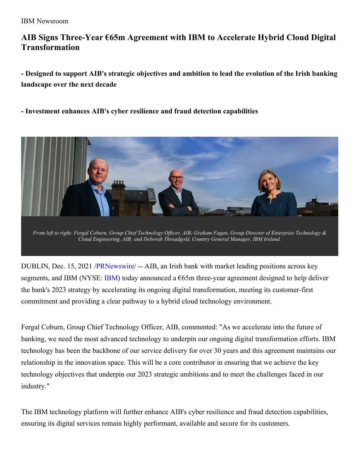# **AIB Signs Three-Year €65m Agreement with IBM to Accelerate Hybrid Cloud Digital Transformation**

**- Designed to support AIB's strategic objectives and ambition to lead the evolution of the Irish banking landscape over the next decade**

**- Investment enhances AIB's cyber resilience and fraud detection capabilities**



DUBLIN, Dec. 15, 2021 [/PRNewswire](http://www.prnewswire.com/)/ -- AIB, an Irish bank with market leading positions across key segments, and [IBM](https://c212.net/c/link/?t=0&l=en&o=3389479-1&h=1082901390&u=http%3A%2F%2Fwww.ibm.com%2Finvestor&a=IBM) (NYSE: IBM) today announced a  $\epsilon$ 65m three-year agreement designed to help deliver the bank's 2023 strategy by accelerating its ongoing digital transformation, meeting its customer-first commitment and providing a clear pathway to a hybrid cloud technology environment.

Fergal Coburn, Group Chief Technology Officer, AIB, commented: "As we accelerate into the future of banking, we need the most advanced technology to underpin our ongoing digital transformation efforts. IBM technology has been the backbone of our service delivery for over 30 years and this agreement maintains our relationship in the innovation space. This will be a core contributor in ensuring that we achieve the key technology objectives that underpin our 2023 strategic ambitions and to meet the challenges faced in our industry."

The IBM technology platform will further enhance AIB's cyber resilience and fraud detection capabilities, ensuring its digital services remain highly performant, available and secure for its customers.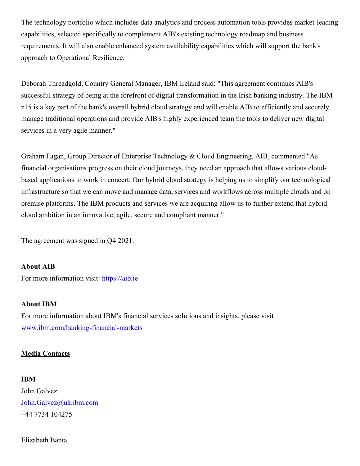The technology portfolio which includes data analytics and process automation tools provides market-leading capabilities, selected specifically to complement AIB's existing technology roadmap and business requirements. It will also enable enhanced system availability capabilities which will support the bank's approach to Operational Resilience.

Deborah Threadgold, Country General Manager, IBM Ireland said: "This agreement continues AIB's successful strategy of being at the forefront of digital transformation in the Irish banking industry. The IBM z15 is a key part of the bank's overall hybrid cloud strategy and will enable AIB to efficiently and securely manage traditional operations and provide AIB's highly experienced team the tools to deliver new digital services in a very agile manner."

Graham Fagan, Group Director of Enterprise Technology & Cloud Engineering, AIB, commented "As financial organisations progress on their cloud journeys, they need an approach that allows various cloudbased applications to work in concert. Our hybrid cloud strategy is helping us to simplify our technological infrastructure so that we can move and manage data, services and workflows across multiple clouds and on premise platforms. The IBM products and services we are acquiring allow us to further extend that hybrid cloud ambition in an innovative, agile, secure and compliant manner."

The agreement was signed in Q4 2021.

#### **About AIB**

For more information visit: [https://aib.ie](https://c212.net/c/link/?t=0&l=en&o=3389479-1&h=3767823272&u=https%3A%2F%2Faib.ie%2F&a=https%3A%2F%2Faib.ie)

#### **About IBM**

For more information about IBM's financial services solutions and insights, please visit [www.ibm.com/banking-financial-markets](https://c212.net/c/link/?t=0&l=en&o=3389479-1&h=3047379784&u=http%3A%2F%2Fwww.ibm.com%2Fbanking-financial-markets&a=www.ibm.com%2Fbanking-financial-markets)

### **Media Contacts**

#### **IBM**

John Galvez [John.Galvez@uk.ibm.com](mailto:John.Galvez@uk.ibm.com) +44 7734 104275

Elizabeth Banta